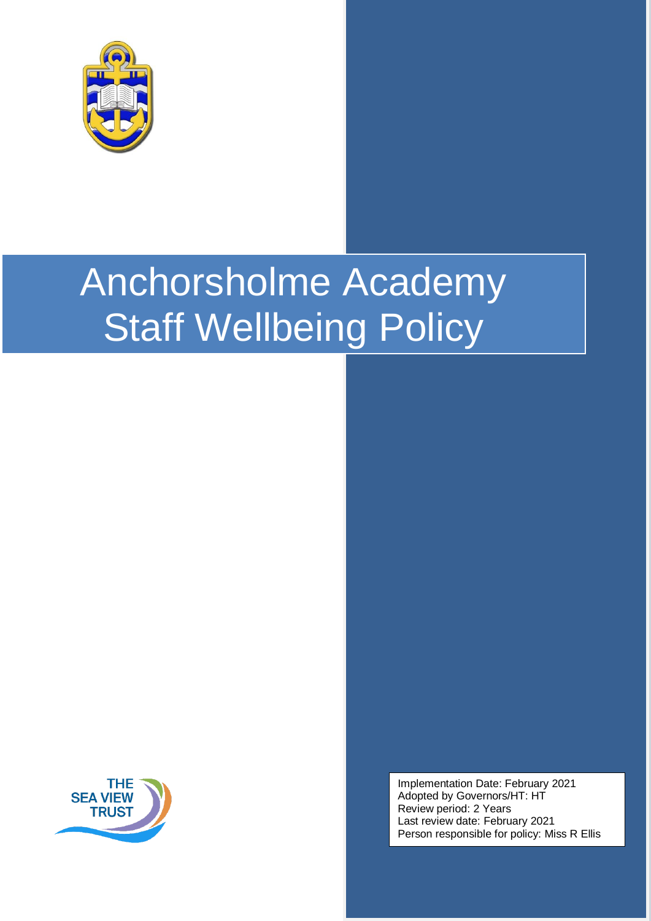



Implementation Date: February 2021 Adopted by Governors/HT: HT Review period: 2 Years Last review date: February 2021 Person responsible for policy: Miss R Ellis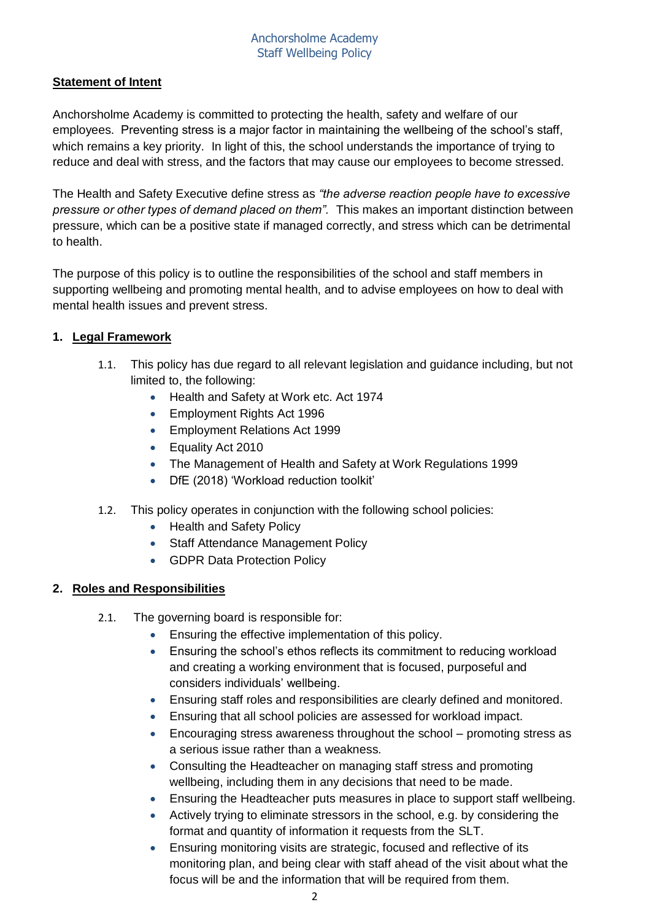# **Statement of Intent**

Anchorsholme Academy is committed to protecting the health, safety and welfare of our employees. Preventing stress is a major factor in maintaining the wellbeing of the school's staff, which remains a key priority. In light of this, the school understands the importance of trying to reduce and deal with stress, and the factors that may cause our employees to become stressed.

The Health and Safety Executive define stress as *"the adverse reaction people have to excessive pressure or other types of demand placed on them".* This makes an important distinction between pressure, which can be a positive state if managed correctly, and stress which can be detrimental to health.

The purpose of this policy is to outline the responsibilities of the school and staff members in supporting wellbeing and promoting mental health, and to advise employees on how to deal with mental health issues and prevent stress.

#### **1. Legal Framework**

- 1.1. This policy has due regard to all relevant legislation and guidance including, but not limited to, the following:
	- Health and Safety at Work etc. Act 1974
	- **Employment Rights Act 1996**
	- **Employment Relations Act 1999**
	- Equality Act 2010
	- The Management of Health and Safety at Work Regulations 1999
	- DfE (2018) 'Workload reduction toolkit'
- 1.2. This policy operates in conjunction with the following school policies:
	- Health and Safety Policy
	- Staff Attendance Management Policy
	- GDPR Data Protection Policy

#### **2. Roles and Responsibilities**

- 2.1. The governing board is responsible for:
	- **Ensuring the effective implementation of this policy.**
	- Ensuring the school's ethos reflects its commitment to reducing workload and creating a working environment that is focused, purposeful and considers individuals' wellbeing.
	- Ensuring staff roles and responsibilities are clearly defined and monitored.
	- Ensuring that all school policies are assessed for workload impact.
	- Encouraging stress awareness throughout the school promoting stress as a serious issue rather than a weakness.
	- Consulting the Headteacher on managing staff stress and promoting wellbeing, including them in any decisions that need to be made.
	- Ensuring the Headteacher puts measures in place to support staff wellbeing.
	- Actively trying to eliminate stressors in the school, e.g. by considering the format and quantity of information it requests from the SLT.
	- Ensuring monitoring visits are strategic, focused and reflective of its monitoring plan, and being clear with staff ahead of the visit about what the focus will be and the information that will be required from them.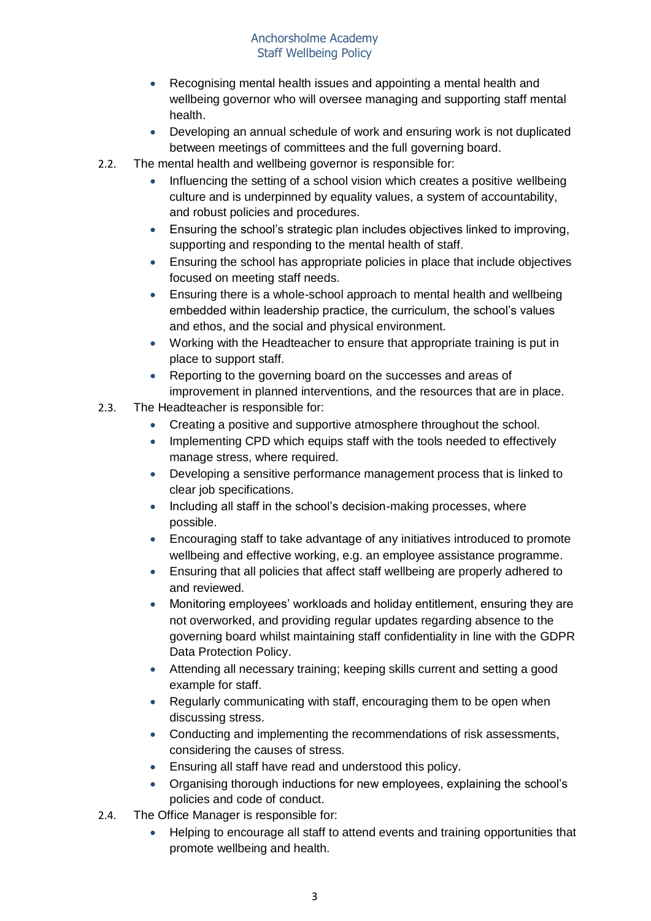- Recognising mental health issues and appointing a mental health and wellbeing governor who will oversee managing and supporting staff mental health.
- Developing an annual schedule of work and ensuring work is not duplicated between meetings of committees and the full governing board.
- 2.2. The mental health and wellbeing governor is responsible for:
	- Influencing the setting of a school vision which creates a positive wellbeing culture and is underpinned by equality values, a system of accountability, and robust policies and procedures.
	- Ensuring the school's strategic plan includes objectives linked to improving, supporting and responding to the mental health of staff.
	- Ensuring the school has appropriate policies in place that include objectives focused on meeting staff needs.
	- Ensuring there is a whole-school approach to mental health and wellbeing embedded within leadership practice, the curriculum, the school's values and ethos, and the social and physical environment.
	- Working with the Headteacher to ensure that appropriate training is put in place to support staff.
	- Reporting to the governing board on the successes and areas of improvement in planned interventions, and the resources that are in place.
- 2.3. The Headteacher is responsible for:
	- Creating a positive and supportive atmosphere throughout the school.
	- Implementing CPD which equips staff with the tools needed to effectively manage stress, where required.
	- Developing a sensitive performance management process that is linked to clear job specifications.
	- Including all staff in the school's decision-making processes, where possible.
	- Encouraging staff to take advantage of any initiatives introduced to promote wellbeing and effective working, e.g. an employee assistance programme.
	- Ensuring that all policies that affect staff wellbeing are properly adhered to and reviewed.
	- Monitoring employees' workloads and holiday entitlement, ensuring they are not overworked, and providing regular updates regarding absence to the governing board whilst maintaining staff confidentiality in line with the GDPR Data Protection Policy.
	- Attending all necessary training; keeping skills current and setting a good example for staff.
	- Regularly communicating with staff, encouraging them to be open when discussing stress.
	- Conducting and implementing the recommendations of risk assessments, considering the causes of stress.
	- Ensuring all staff have read and understood this policy.
	- Organising thorough inductions for new employees, explaining the school's policies and code of conduct.
- 2.4. The Office Manager is responsible for:
	- Helping to encourage all staff to attend events and training opportunities that promote wellbeing and health.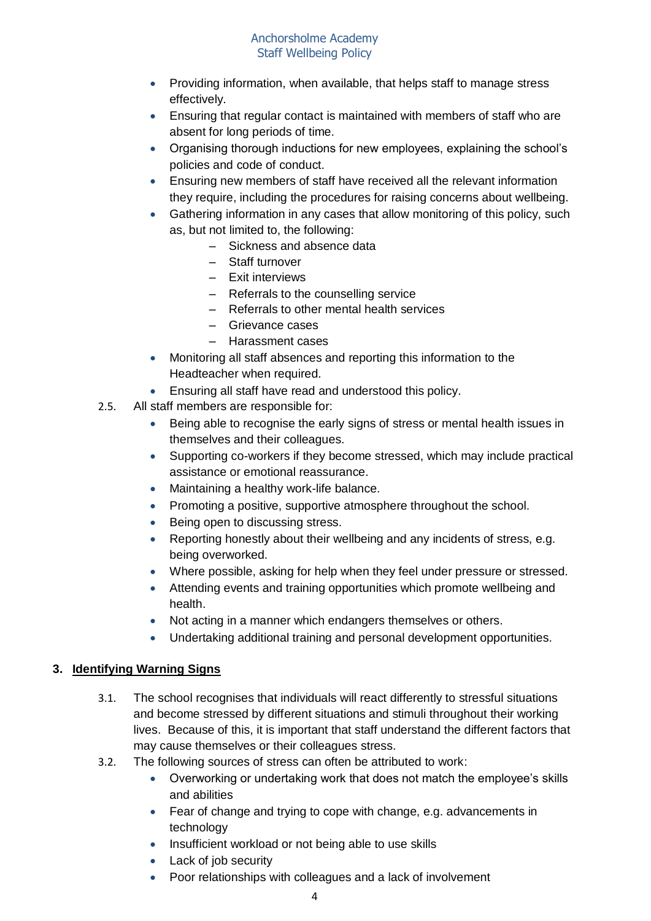- Providing information, when available, that helps staff to manage stress effectively.
- Ensuring that regular contact is maintained with members of staff who are absent for long periods of time.
- Organising thorough inductions for new employees, explaining the school's policies and code of conduct.
- Ensuring new members of staff have received all the relevant information they require, including the procedures for raising concerns about wellbeing.
- Gathering information in any cases that allow monitoring of this policy, such as, but not limited to, the following:
	- Sickness and absence data
	- Staff turnover
	- Exit interviews
	- Referrals to the counselling service
	- Referrals to other mental health services
	- Grievance cases
	- Harassment cases
- Monitoring all staff absences and reporting this information to the Headteacher when required.
- Ensuring all staff have read and understood this policy.
- 2.5. All staff members are responsible for:
	- Being able to recognise the early signs of stress or mental health issues in themselves and their colleagues.
	- Supporting co-workers if they become stressed, which may include practical assistance or emotional reassurance.
	- Maintaining a healthy work-life balance.
	- Promoting a positive, supportive atmosphere throughout the school.
	- Being open to discussing stress.
	- Reporting honestly about their wellbeing and any incidents of stress, e.g. being overworked.
	- Where possible, asking for help when they feel under pressure or stressed.
	- Attending events and training opportunities which promote wellbeing and health.
	- Not acting in a manner which endangers themselves or others.
	- Undertaking additional training and personal development opportunities.

# **3. Identifying Warning Signs**

- 3.1. The school recognises that individuals will react differently to stressful situations and become stressed by different situations and stimuli throughout their working lives. Because of this, it is important that staff understand the different factors that may cause themselves or their colleagues stress.
- 3.2. The following sources of stress can often be attributed to work:
	- Overworking or undertaking work that does not match the employee's skills and abilities
	- Fear of change and trying to cope with change, e.g. advancements in technology
	- Insufficient workload or not being able to use skills
	- Lack of job security
	- Poor relationships with colleagues and a lack of involvement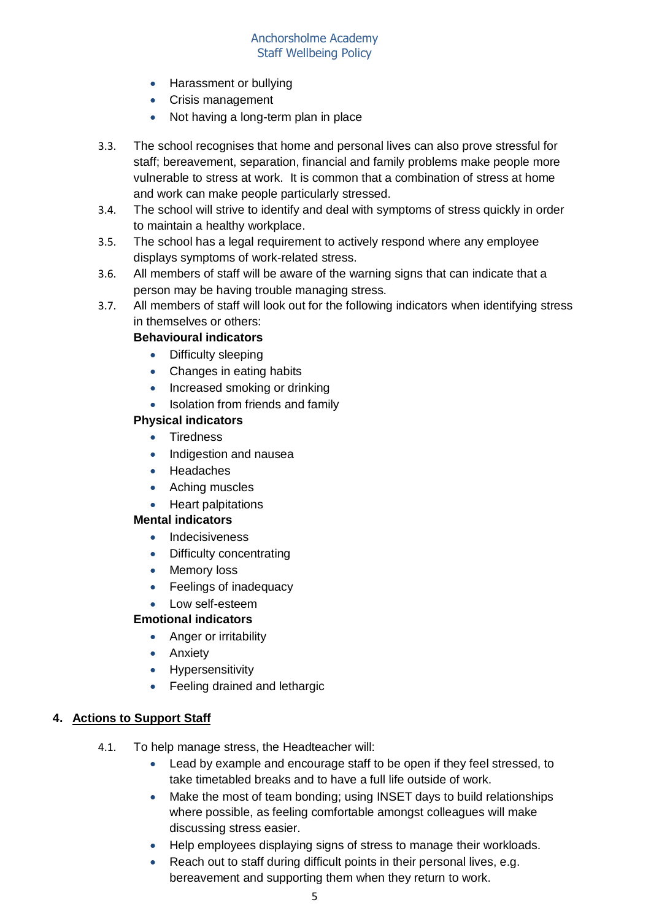- Harassment or bullying
- Crisis management
- Not having a long-term plan in place
- 3.3. The school recognises that home and personal lives can also prove stressful for staff; bereavement, separation, financial and family problems make people more vulnerable to stress at work. It is common that a combination of stress at home and work can make people particularly stressed.
- 3.4. The school will strive to identify and deal with symptoms of stress quickly in order to maintain a healthy workplace.
- 3.5. The school has a legal requirement to actively respond where any employee displays symptoms of work-related stress.
- 3.6. All members of staff will be aware of the warning signs that can indicate that a person may be having trouble managing stress.
- 3.7. All members of staff will look out for the following indicators when identifying stress in themselves or others:

# **Behavioural indicators**

- Difficulty sleeping
- Changes in eating habits
- Increased smoking or drinking
- Isolation from friends and family

#### **Physical indicators**

- Tiredness
- Indigestion and nausea
- Headaches
- Aching muscles
- Heart palpitations

#### **Mental indicators**

- Indecisiveness
- Difficulty concentrating
- Memory loss
- Feelings of inadequacy
- Low self-esteem

# **Emotional indicators**

- Anger or irritability
- Anxiety
- **•** Hypersensitivity
- Feeling drained and lethargic

#### **4. Actions to Support Staff**

- 4.1. To help manage stress, the Headteacher will:
	- Lead by example and encourage staff to be open if they feel stressed, to take timetabled breaks and to have a full life outside of work.
	- Make the most of team bonding; using INSET days to build relationships where possible, as feeling comfortable amongst colleagues will make discussing stress easier.
	- Help employees displaying signs of stress to manage their workloads.
	- Reach out to staff during difficult points in their personal lives, e.g. bereavement and supporting them when they return to work.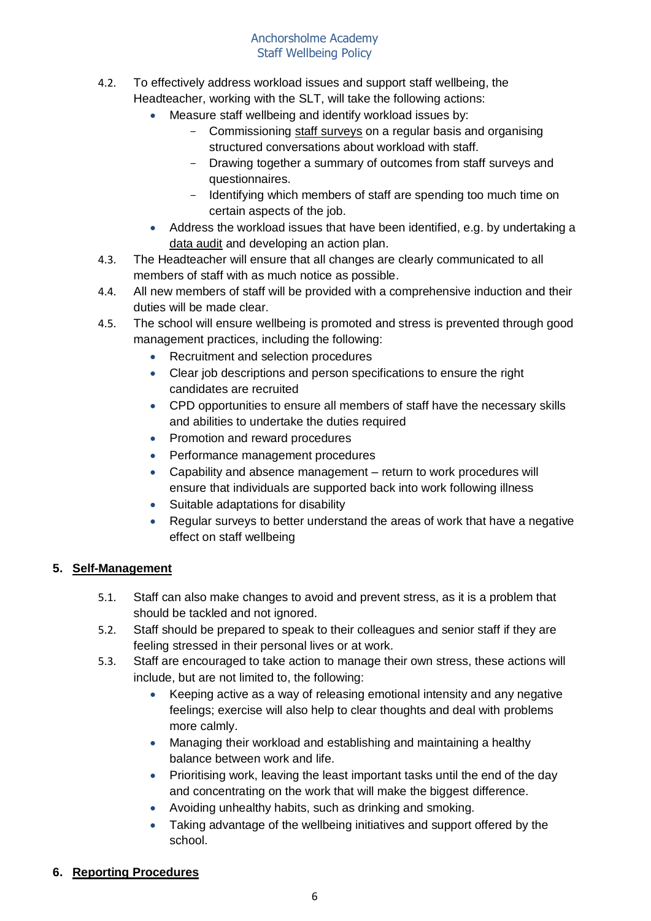- 4.2. To effectively address workload issues and support staff wellbeing, the Headteacher, working with the SLT, will take the following actions:
	- Measure staff wellbeing and identify workload issues by:
		- Commissioning [staff surveys](https://www.theschoolbus.net/article/teacher-workload-survey/6248) on a regular basis and organising structured conversations about workload with staff.
		- Drawing together a summary of outcomes from staff surveys and questionnaires.
		- Identifying which members of staff are spending too much time on certain aspects of the job.
	- Address the workload issues that have been identified, e.g. by undertaking a [data audit](https://www.theschoolbus.net/article/data-collection-audit-and-action-plan/6246) and developing an action plan.
- 4.3. The Headteacher will ensure that all changes are clearly communicated to all members of staff with as much notice as possible.
- 4.4. All new members of staff will be provided with a comprehensive induction and their duties will be made clear.
- 4.5. The school will ensure wellbeing is promoted and stress is prevented through good management practices, including the following:
	- Recruitment and selection procedures
	- Clear job descriptions and person specifications to ensure the right candidates are recruited
	- CPD opportunities to ensure all members of staff have the necessary skills and abilities to undertake the duties required
	- Promotion and reward procedures
	- Performance management procedures
	- Capability and absence management return to work procedures will ensure that individuals are supported back into work following illness
	- Suitable adaptations for disability
	- Regular surveys to better understand the areas of work that have a negative effect on staff wellbeing

# **5. Self-Management**

- 5.1. Staff can also make changes to avoid and prevent stress, as it is a problem that should be tackled and not ignored.
- 5.2. Staff should be prepared to speak to their colleagues and senior staff if they are feeling stressed in their personal lives or at work.
- 5.3. Staff are encouraged to take action to manage their own stress, these actions will include, but are not limited to, the following:
	- Keeping active as a way of releasing emotional intensity and any negative feelings; exercise will also help to clear thoughts and deal with problems more calmly.
	- Managing their workload and establishing and maintaining a healthy balance between work and life.
	- Prioritising work, leaving the least important tasks until the end of the day and concentrating on the work that will make the biggest difference.
	- Avoiding unhealthy habits, such as drinking and smoking.
	- Taking advantage of the wellbeing initiatives and support offered by the school.

# **6. Reporting Procedures**